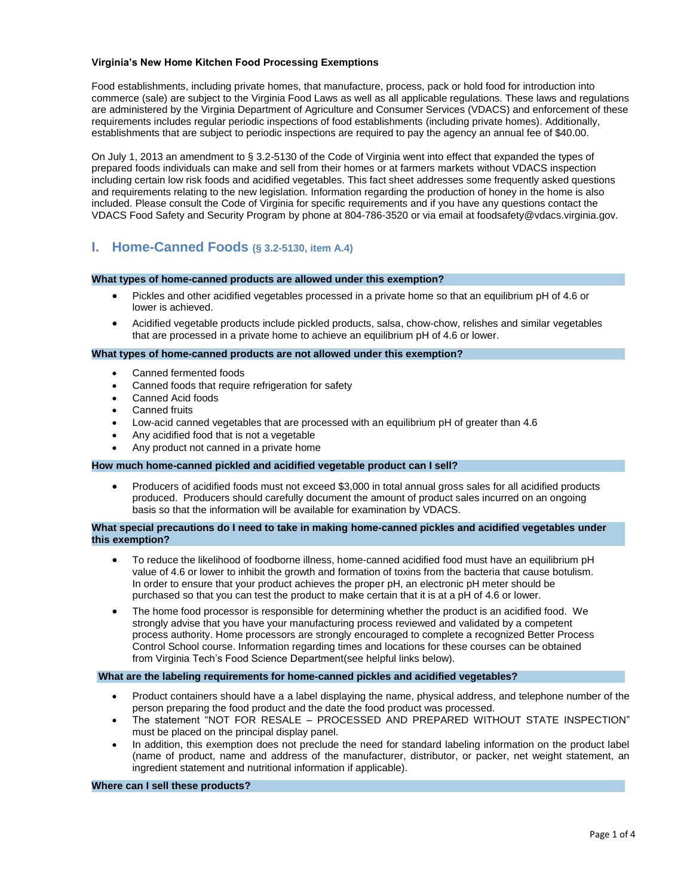## **Virginia's New Home Kitchen Food Processing Exemptions**

Food establishments, including private homes, that manufacture, process, pack or hold food for introduction into commerce (sale) are subject to the Virginia Food Laws as well as all applicable regulations. These laws and regulations are administered by the Virginia Department of Agriculture and Consumer Services (VDACS) and enforcement of these requirements includes regular periodic inspections of food establishments (including private homes). Additionally, establishments that are subject to periodic inspections are required to pay the agency an annual fee of \$40.00.

On July 1, 2013 an amendment to § 3.2-5130 of the Code of Virginia went into effect that expanded the types of prepared foods individuals can make and sell from their homes or at farmers markets without VDACS inspection including certain low risk foods and acidified vegetables. This fact sheet addresses some frequently asked questions and requirements relating to the new legislation. Information regarding the production of honey in the home is also included. Please consult the Code of Virginia for specific requirements and if you have any questions contact the VDACS Food Safety and Security Program by phone at 804-786-3520 or via email at foodsafety@vdacs.virginia.gov.

# **I. Home-Canned Foods (§ 3.2-5130, item A.4)**

## **What types of home-canned products are allowed under this exemption?**

- Pickles and other acidified vegetables processed in a private home so that an equilibrium pH of 4.6 or lower is achieved.
- Acidified vegetable products include pickled products, salsa, chow-chow, relishes and similar vegetables that are processed in a private home to achieve an equilibrium pH of 4.6 or lower.

## **What types of home-canned products are not allowed under this exemption?**

- Canned fermented foods
- Canned foods that require refrigeration for safety
- Canned Acid foods
- Canned fruits
- Low-acid canned vegetables that are processed with an equilibrium pH of greater than 4.6
- Any acidified food that is not a vegetable
- Any product not canned in a private home

### **How much home-canned pickled and acidified vegetable product can I sell?**

 Producers of acidified foods must not exceed \$3,000 in total annual gross sales for all acidified products produced. Producers should carefully document the amount of product sales incurred on an ongoing basis so that the information will be available for examination by VDACS.

## **What special precautions do I need to take in making home-canned pickles and acidified vegetables under this exemption?**

- To reduce the likelihood of foodborne illness, home-canned acidified food must have an equilibrium pH value of 4.6 or lower to inhibit the growth and formation of toxins from the bacteria that cause botulism. In order to ensure that your product achieves the proper pH, an electronic pH meter should be purchased so that you can test the product to make certain that it is at a pH of 4.6 or lower.
- The home food processor is responsible for determining whether the product is an acidified food. We strongly advise that you have your manufacturing process reviewed and validated by a competent process authority. Home processors are strongly encouraged to complete a recognized Better Process Control School course. Information regarding times and locations for these courses can be obtained from Virginia Tech's Food Science Department(see helpful links below).

### **What are the labeling requirements for home-canned pickles and acidified vegetables?**

- Product containers should have a a label displaying the name, physical address, and telephone number of the person preparing the food product and the date the food product was processed.
- The statement "NOT FOR RESALE PROCESSED AND PREPARED WITHOUT STATE INSPECTION" must be placed on the principal display panel.
- In addition, this exemption does not preclude the need for standard labeling information on the product label (name of product, name and address of the manufacturer, distributor, or packer, net weight statement, an ingredient statement and nutritional information if applicable).

**Where can I sell these products?**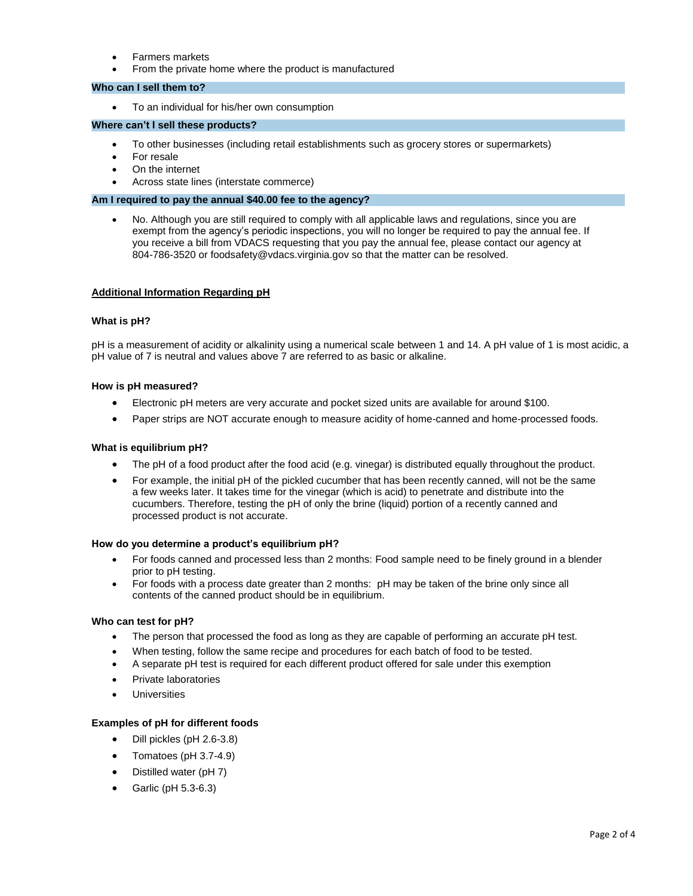- Farmers markets
- From the private home where the product is manufactured

## **Who can I sell them to?**

To an individual for his/her own consumption

## **Where can't I sell these products?**

- To other businesses (including retail establishments such as grocery stores or supermarkets)
- For resale
- On the internet
- Across state lines (interstate commerce)

## **Am I required to pay the annual \$40.00 fee to the agency?**

 No. Although you are still required to comply with all applicable laws and regulations, since you are exempt from the agency's periodic inspections, you will no longer be required to pay the annual fee. If you receive a bill from VDACS requesting that you pay the annual fee, please contact our agency at 804-786-3520 or foodsafety@vdacs.virginia.gov so that the matter can be resolved.

### **Additional Information Regarding pH**

## **What is pH?**

pH is a measurement of acidity or alkalinity using a numerical scale between 1 and 14. A pH value of 1 is most acidic, a pH value of 7 is neutral and values above 7 are referred to as basic or alkaline.

## **How is pH measured?**

- Electronic pH meters are very accurate and pocket sized units are available for around \$100.
- Paper strips are NOT accurate enough to measure acidity of home-canned and home-processed foods.

## **What is equilibrium pH?**

- The pH of a food product after the food acid (e.g. vinegar) is distributed equally throughout the product.
- For example, the initial pH of the pickled cucumber that has been recently canned, will not be the same a few weeks later. It takes time for the vinegar (which is acid) to penetrate and distribute into the cucumbers. Therefore, testing the pH of only the brine (liquid) portion of a recently canned and processed product is not accurate.

### **How do you determine a product's equilibrium pH?**

- For foods canned and processed less than 2 months: Food sample need to be finely ground in a blender prior to pH testing.
- For foods with a process date greater than 2 months: pH may be taken of the brine only since all contents of the canned product should be in equilibrium.

### **Who can test for pH?**

- The person that processed the food as long as they are capable of performing an accurate pH test.
- When testing, follow the same recipe and procedures for each batch of food to be tested.
- A separate pH test is required for each different product offered for sale under this exemption
- Private laboratories
- Universities

## **Examples of pH for different foods**

- Dill pickles (pH 2.6-3.8)
- Tomatoes (pH 3.7-4.9)
- Distilled water (pH 7)
- Garlic (pH 5.3-6.3)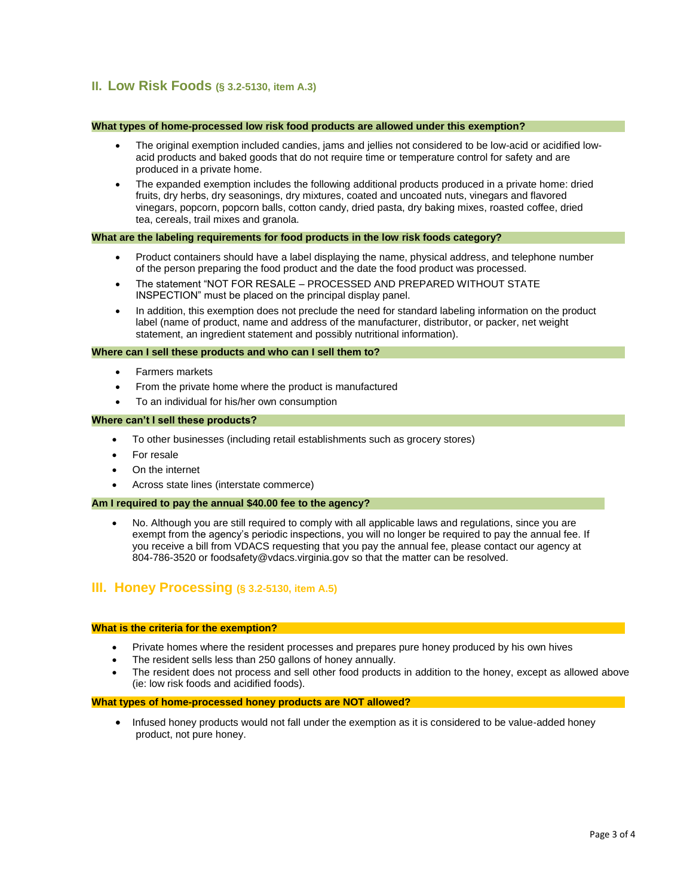# **II. Low Risk Foods (§ 3.2-5130, item A.3)**

## **What types of home-processed low risk food products are allowed under this exemption?**

- The original exemption included candies, jams and jellies not considered to be low-acid or acidified lowacid products and baked goods that do not require time or temperature control for safety and are produced in a private home.
- The expanded exemption includes the following additional products produced in a private home: dried fruits, dry herbs, dry seasonings, dry mixtures, coated and uncoated nuts, vinegars and flavored vinegars, popcorn, popcorn balls, cotton candy, dried pasta, dry baking mixes, roasted coffee, dried tea, cereals, trail mixes and granola.

## **What are the labeling requirements for food products in the low risk foods category?**

- Product containers should have a label displaying the name, physical address, and telephone number of the person preparing the food product and the date the food product was processed.
- The statement "NOT FOR RESALE PROCESSED AND PREPARED WITHOUT STATE INSPECTION" must be placed on the principal display panel.
- In addition, this exemption does not preclude the need for standard labeling information on the product label (name of product, name and address of the manufacturer, distributor, or packer, net weight statement, an ingredient statement and possibly nutritional information).

## **Where can I sell these products and who can I sell them to?**

- Farmers markets
- From the private home where the product is manufactured
- To an individual for his/her own consumption

### **Where can't I sell these products?**

- To other businesses (including retail establishments such as grocery stores)
- For resale
- On the internet
- Across state lines (interstate commerce)

## **Am I required to pay the annual \$40.00 fee to the agency?**

 No. Although you are still required to comply with all applicable laws and regulations, since you are exempt from the agency's periodic inspections, you will no longer be required to pay the annual fee. If you receive a bill from VDACS requesting that you pay the annual fee, please contact our agency at 804-786-3520 or foodsafety@vdacs.virginia.gov so that the matter can be resolved.

# **III. Honey Processing (§ 3.2-5130, item A.5)**

## **What is the criteria for the exemption?**

- Private homes where the resident processes and prepares pure honey produced by his own hives
- The resident sells less than 250 gallons of honey annually.
- The resident does not process and sell other food products in addition to the honey, except as allowed above (ie: low risk foods and acidified foods).

## **What types of home-processed honey products are NOT allowed?**

 Infused honey products would not fall under the exemption as it is considered to be value-added honey product, not pure honey.